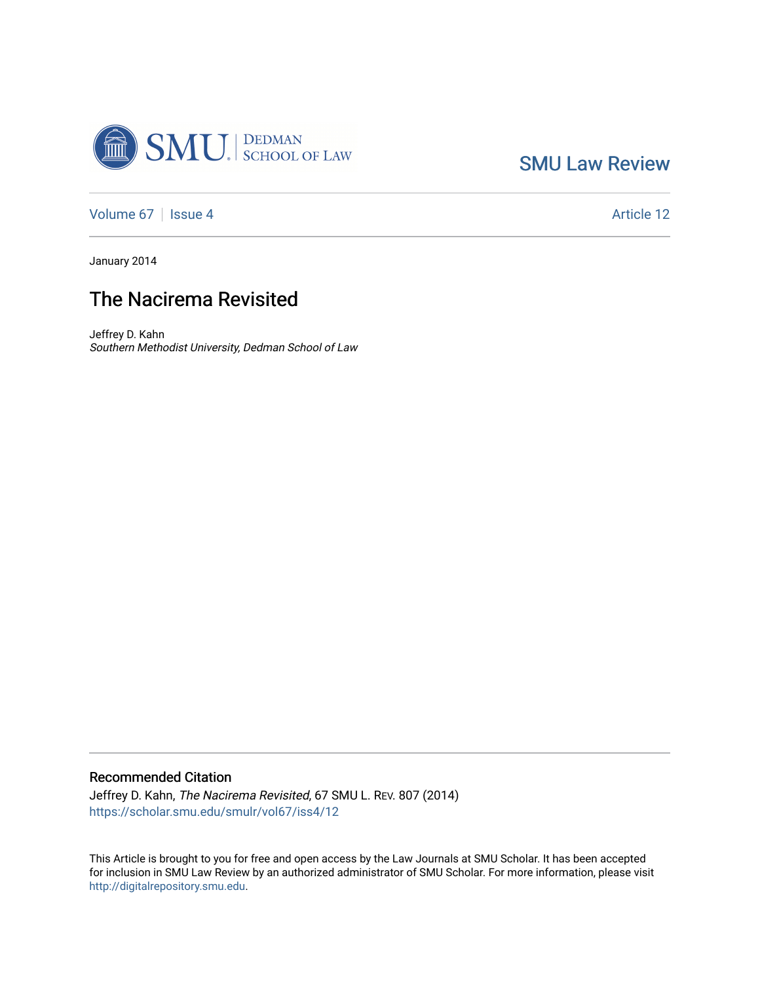

[SMU Law Review](https://scholar.smu.edu/smulr) 

[Volume 67](https://scholar.smu.edu/smulr/vol67) | [Issue 4](https://scholar.smu.edu/smulr/vol67/iss4) Article 12

January 2014

# The Nacirema Revisited

Jeffrey D. Kahn Southern Methodist University, Dedman School of Law

## Recommended Citation

Jeffrey D. Kahn, The Nacirema Revisited, 67 SMU L. REV. 807 (2014) [https://scholar.smu.edu/smulr/vol67/iss4/12](https://scholar.smu.edu/smulr/vol67/iss4/12?utm_source=scholar.smu.edu%2Fsmulr%2Fvol67%2Fiss4%2F12&utm_medium=PDF&utm_campaign=PDFCoverPages)

This Article is brought to you for free and open access by the Law Journals at SMU Scholar. It has been accepted for inclusion in SMU Law Review by an authorized administrator of SMU Scholar. For more information, please visit [http://digitalrepository.smu.edu.](http://digitalrepository.smu.edu/)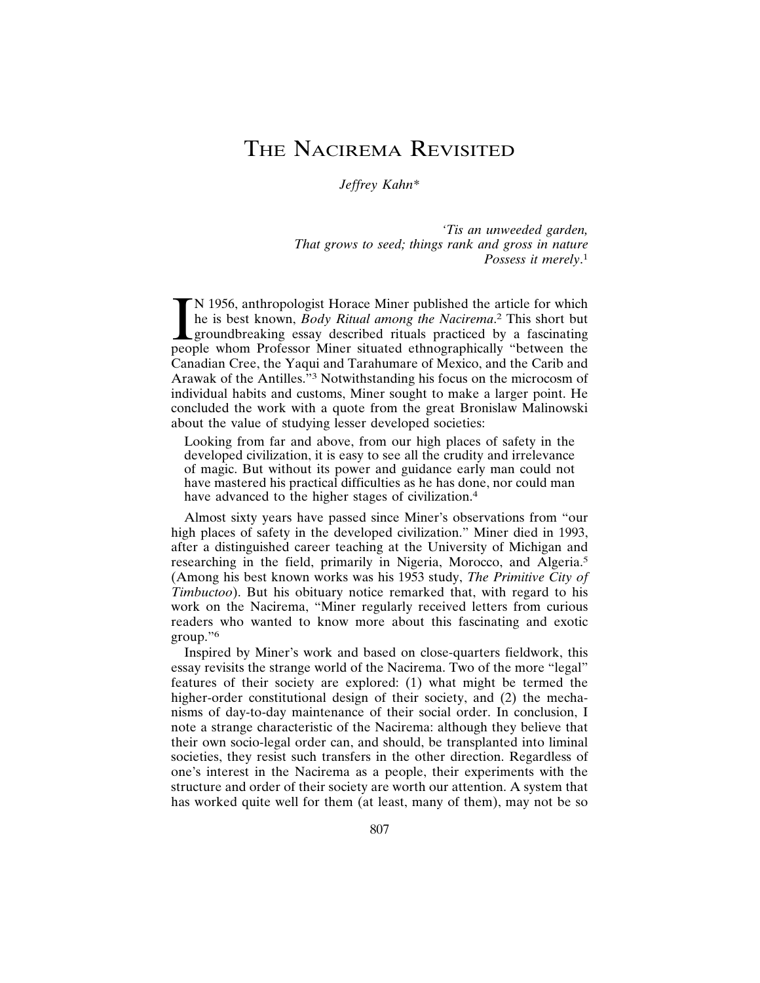# THE NACIREMA REVISITED

*Jeffrey Kahn\**

*'Tis an unweeded garden, That grows to seed; things rank and gross in nature Possess it merely*. 1

IN 1956, anthropologist Horace Miner published the article for which<br>he is best known, *Body Ritual among the Nacirema*.<sup>2</sup> This short but<br>groundbreaking essay described rituals practiced by a fascinating<br>people whom Profe N 1956, anthropologist Horace Miner published the article for which he is best known, *Body Ritual among the Nacirema*. 2 This short but groundbreaking essay described rituals practiced by a fascinating Canadian Cree, the Yaqui and Tarahumare of Mexico, and the Carib and Arawak of the Antilles."3 Notwithstanding his focus on the microcosm of individual habits and customs, Miner sought to make a larger point. He concluded the work with a quote from the great Bronislaw Malinowski about the value of studying lesser developed societies:

Looking from far and above, from our high places of safety in the developed civilization, it is easy to see all the crudity and irrelevance of magic. But without its power and guidance early man could not have mastered his practical difficulties as he has done, nor could man have advanced to the higher stages of civilization.<sup>4</sup>

Almost sixty years have passed since Miner's observations from "our high places of safety in the developed civilization." Miner died in 1993, after a distinguished career teaching at the University of Michigan and researching in the field, primarily in Nigeria, Morocco, and Algeria.<sup>5</sup> (Among his best known works was his 1953 study, *The Primitive City of Timbuctoo*). But his obituary notice remarked that, with regard to his work on the Nacirema, "Miner regularly received letters from curious readers who wanted to know more about this fascinating and exotic group."6

Inspired by Miner's work and based on close-quarters fieldwork, this essay revisits the strange world of the Nacirema. Two of the more "legal" features of their society are explored: (1) what might be termed the higher-order constitutional design of their society, and (2) the mechanisms of day-to-day maintenance of their social order. In conclusion, I note a strange characteristic of the Nacirema: although they believe that their own socio-legal order can, and should, be transplanted into liminal societies, they resist such transfers in the other direction. Regardless of one's interest in the Nacirema as a people, their experiments with the structure and order of their society are worth our attention. A system that has worked quite well for them (at least, many of them), may not be so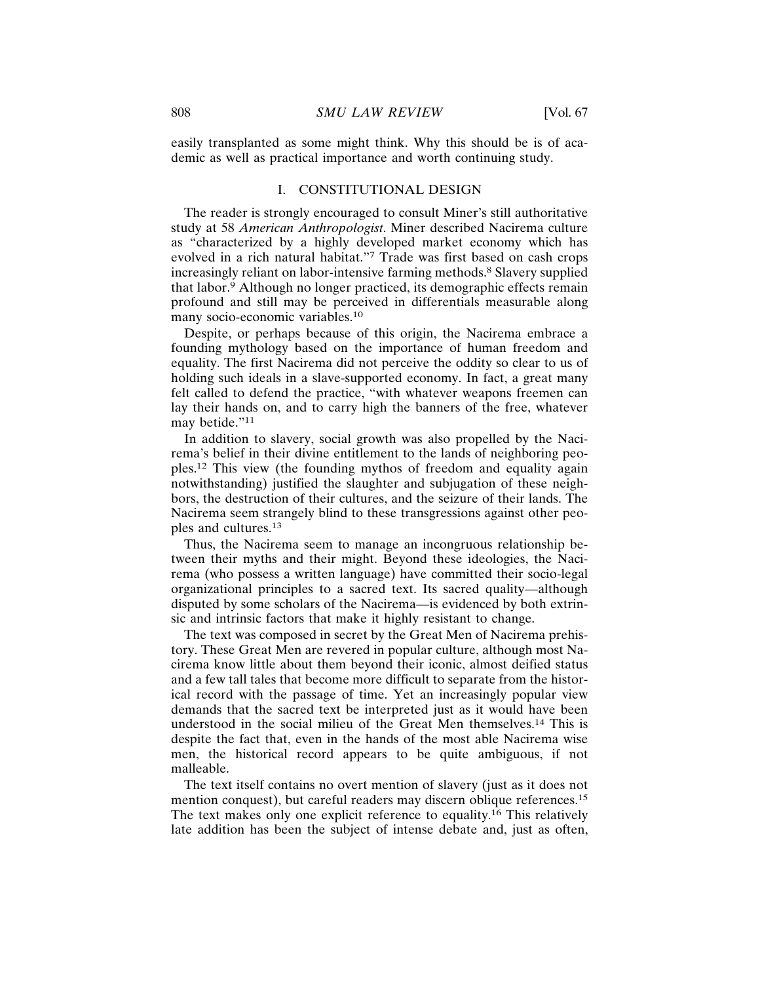easily transplanted as some might think. Why this should be is of academic as well as practical importance and worth continuing study.

#### I. CONSTITUTIONAL DESIGN

The reader is strongly encouraged to consult Miner's still authoritative study at 58 *American Anthropologist*. Miner described Nacirema culture as "characterized by a highly developed market economy which has evolved in a rich natural habitat."7 Trade was first based on cash crops increasingly reliant on labor-intensive farming methods.<sup>8</sup> Slavery supplied that labor.9 Although no longer practiced, its demographic effects remain profound and still may be perceived in differentials measurable along many socio-economic variables.<sup>10</sup>

Despite, or perhaps because of this origin, the Nacirema embrace a founding mythology based on the importance of human freedom and equality. The first Nacirema did not perceive the oddity so clear to us of holding such ideals in a slave-supported economy. In fact, a great many felt called to defend the practice, "with whatever weapons freemen can lay their hands on, and to carry high the banners of the free, whatever may betide."<sup>11</sup>

In addition to slavery, social growth was also propelled by the Nacirema's belief in their divine entitlement to the lands of neighboring peoples.12 This view (the founding mythos of freedom and equality again notwithstanding) justified the slaughter and subjugation of these neighbors, the destruction of their cultures, and the seizure of their lands. The Nacirema seem strangely blind to these transgressions against other peoples and cultures.<sup>13</sup>

Thus, the Nacirema seem to manage an incongruous relationship between their myths and their might. Beyond these ideologies, the Nacirema (who possess a written language) have committed their socio-legal organizational principles to a sacred text. Its sacred quality—although disputed by some scholars of the Nacirema—is evidenced by both extrinsic and intrinsic factors that make it highly resistant to change.

The text was composed in secret by the Great Men of Nacirema prehistory. These Great Men are revered in popular culture, although most Nacirema know little about them beyond their iconic, almost deified status and a few tall tales that become more difficult to separate from the historical record with the passage of time. Yet an increasingly popular view demands that the sacred text be interpreted just as it would have been understood in the social milieu of the Great Men themselves.14 This is despite the fact that, even in the hands of the most able Nacirema wise men, the historical record appears to be quite ambiguous, if not malleable.

The text itself contains no overt mention of slavery (just as it does not mention conquest), but careful readers may discern oblique references.<sup>15</sup> The text makes only one explicit reference to equality.16 This relatively late addition has been the subject of intense debate and, just as often,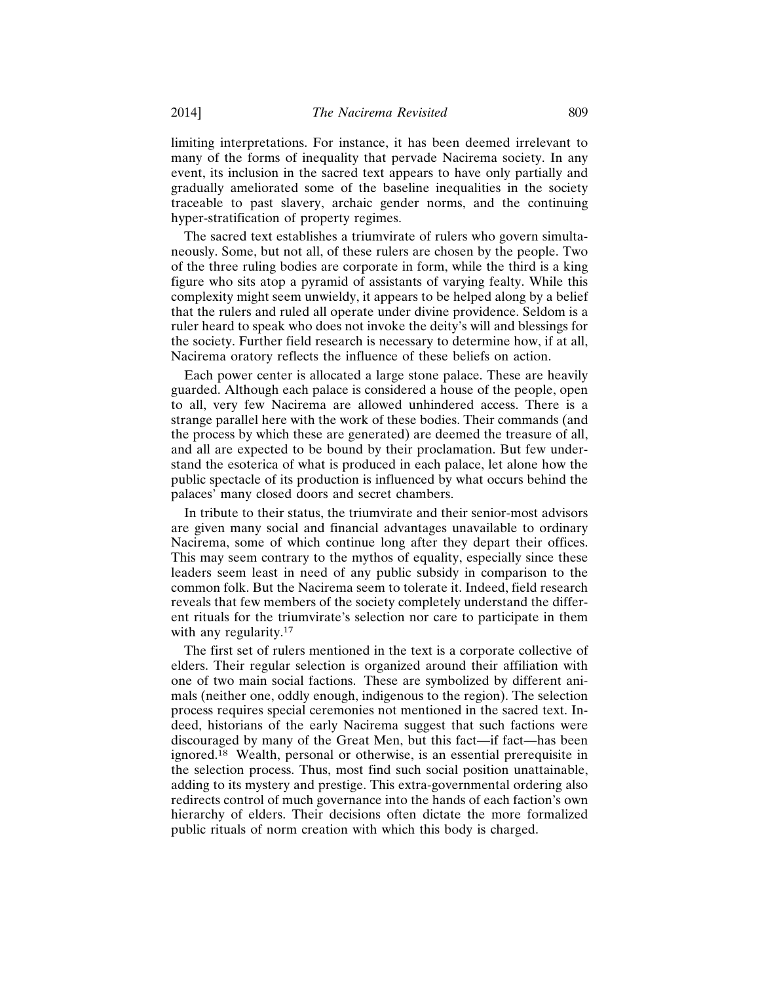limiting interpretations. For instance, it has been deemed irrelevant to many of the forms of inequality that pervade Nacirema society. In any event, its inclusion in the sacred text appears to have only partially and gradually ameliorated some of the baseline inequalities in the society traceable to past slavery, archaic gender norms, and the continuing hyper-stratification of property regimes.

The sacred text establishes a triumvirate of rulers who govern simultaneously. Some, but not all, of these rulers are chosen by the people. Two of the three ruling bodies are corporate in form, while the third is a king figure who sits atop a pyramid of assistants of varying fealty. While this complexity might seem unwieldy, it appears to be helped along by a belief that the rulers and ruled all operate under divine providence. Seldom is a ruler heard to speak who does not invoke the deity's will and blessings for the society. Further field research is necessary to determine how, if at all, Nacirema oratory reflects the influence of these beliefs on action.

Each power center is allocated a large stone palace. These are heavily guarded. Although each palace is considered a house of the people, open to all, very few Nacirema are allowed unhindered access. There is a strange parallel here with the work of these bodies. Their commands (and the process by which these are generated) are deemed the treasure of all, and all are expected to be bound by their proclamation. But few understand the esoterica of what is produced in each palace, let alone how the public spectacle of its production is influenced by what occurs behind the palaces' many closed doors and secret chambers.

In tribute to their status, the triumvirate and their senior-most advisors are given many social and financial advantages unavailable to ordinary Nacirema, some of which continue long after they depart their offices. This may seem contrary to the mythos of equality, especially since these leaders seem least in need of any public subsidy in comparison to the common folk. But the Nacirema seem to tolerate it. Indeed, field research reveals that few members of the society completely understand the different rituals for the triumvirate's selection nor care to participate in them with any regularity.<sup>17</sup>

The first set of rulers mentioned in the text is a corporate collective of elders. Their regular selection is organized around their affiliation with one of two main social factions. These are symbolized by different animals (neither one, oddly enough, indigenous to the region). The selection process requires special ceremonies not mentioned in the sacred text. Indeed, historians of the early Nacirema suggest that such factions were discouraged by many of the Great Men, but this fact—if fact—has been ignored.18 Wealth, personal or otherwise, is an essential prerequisite in the selection process. Thus, most find such social position unattainable, adding to its mystery and prestige. This extra-governmental ordering also redirects control of much governance into the hands of each faction's own hierarchy of elders. Their decisions often dictate the more formalized public rituals of norm creation with which this body is charged.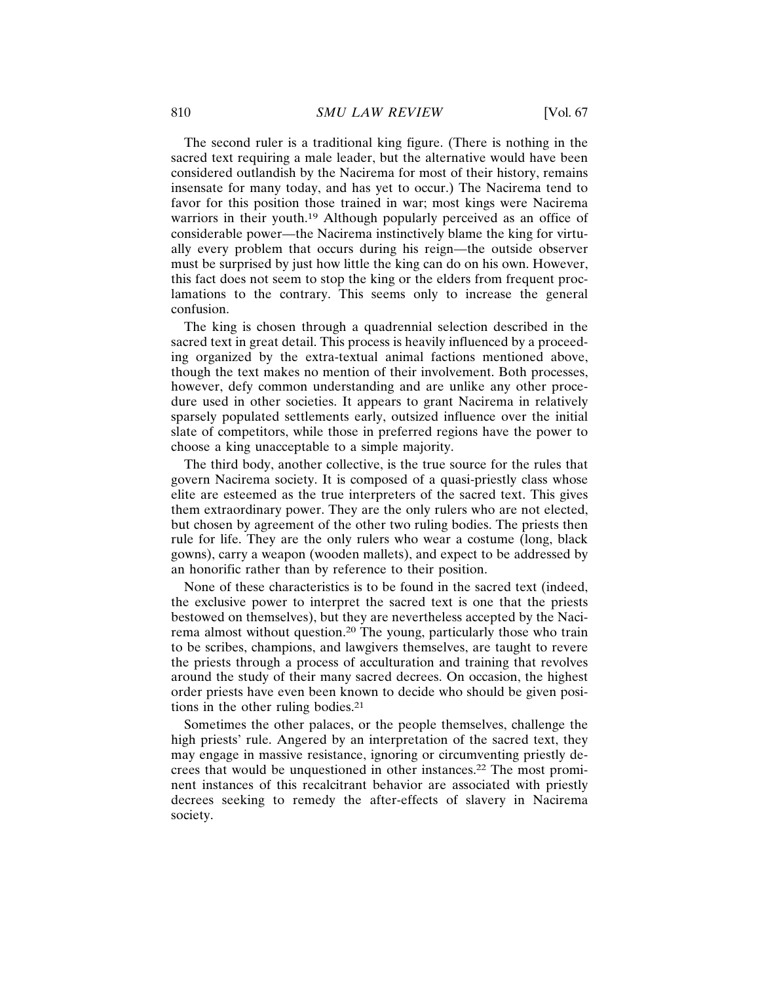The second ruler is a traditional king figure. (There is nothing in the sacred text requiring a male leader, but the alternative would have been considered outlandish by the Nacirema for most of their history, remains insensate for many today, and has yet to occur.) The Nacirema tend to favor for this position those trained in war; most kings were Nacirema warriors in their youth.<sup>19</sup> Although popularly perceived as an office of considerable power—the Nacirema instinctively blame the king for virtually every problem that occurs during his reign—the outside observer must be surprised by just how little the king can do on his own. However, this fact does not seem to stop the king or the elders from frequent proclamations to the contrary. This seems only to increase the general confusion.

The king is chosen through a quadrennial selection described in the sacred text in great detail. This process is heavily influenced by a proceeding organized by the extra-textual animal factions mentioned above, though the text makes no mention of their involvement. Both processes, however, defy common understanding and are unlike any other procedure used in other societies. It appears to grant Nacirema in relatively sparsely populated settlements early, outsized influence over the initial slate of competitors, while those in preferred regions have the power to choose a king unacceptable to a simple majority.

The third body, another collective, is the true source for the rules that govern Nacirema society. It is composed of a quasi-priestly class whose elite are esteemed as the true interpreters of the sacred text. This gives them extraordinary power. They are the only rulers who are not elected, but chosen by agreement of the other two ruling bodies. The priests then rule for life. They are the only rulers who wear a costume (long, black gowns), carry a weapon (wooden mallets), and expect to be addressed by an honorific rather than by reference to their position.

None of these characteristics is to be found in the sacred text (indeed, the exclusive power to interpret the sacred text is one that the priests bestowed on themselves), but they are nevertheless accepted by the Nacirema almost without question.20 The young, particularly those who train to be scribes, champions, and lawgivers themselves, are taught to revere the priests through a process of acculturation and training that revolves around the study of their many sacred decrees. On occasion, the highest order priests have even been known to decide who should be given positions in the other ruling bodies.<sup>21</sup>

Sometimes the other palaces, or the people themselves, challenge the high priests' rule. Angered by an interpretation of the sacred text, they may engage in massive resistance, ignoring or circumventing priestly decrees that would be unquestioned in other instances.22 The most prominent instances of this recalcitrant behavior are associated with priestly decrees seeking to remedy the after-effects of slavery in Nacirema society.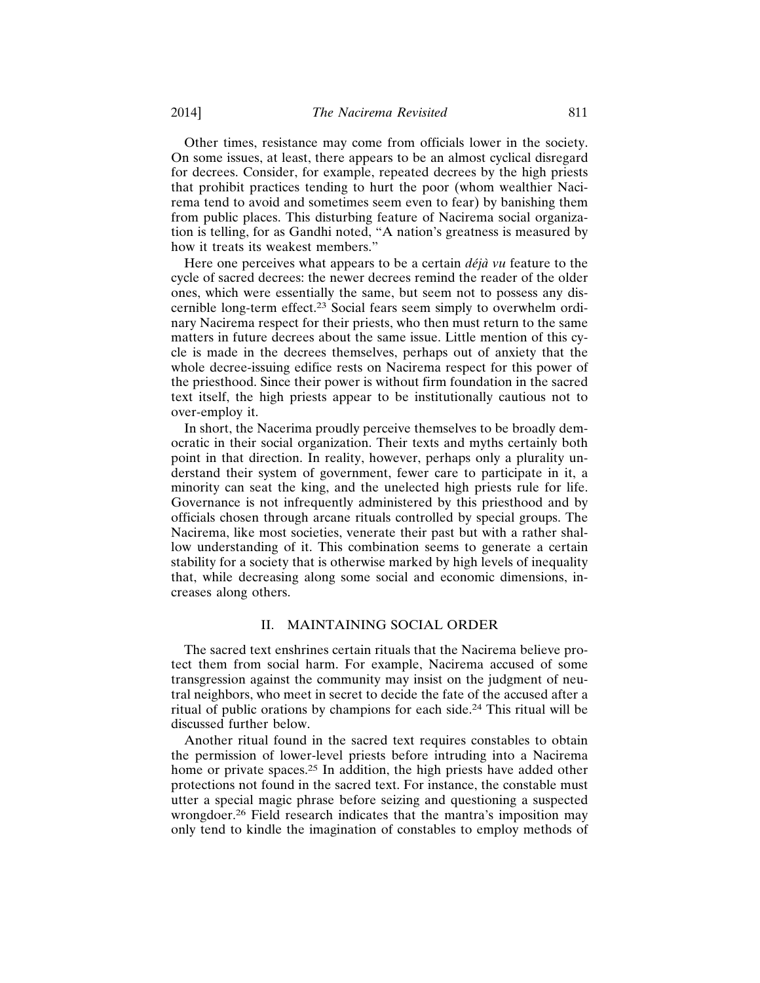Other times, resistance may come from officials lower in the society. On some issues, at least, there appears to be an almost cyclical disregard for decrees. Consider, for example, repeated decrees by the high priests that prohibit practices tending to hurt the poor (whom wealthier Nacirema tend to avoid and sometimes seem even to fear) by banishing them from public places. This disturbing feature of Nacirema social organization is telling, for as Gandhi noted, "A nation's greatness is measured by how it treats its weakest members."

Here one perceives what appears to be a certain *déjà vu* feature to the cycle of sacred decrees: the newer decrees remind the reader of the older ones, which were essentially the same, but seem not to possess any discernible long-term effect.23 Social fears seem simply to overwhelm ordinary Nacirema respect for their priests, who then must return to the same matters in future decrees about the same issue. Little mention of this cycle is made in the decrees themselves, perhaps out of anxiety that the whole decree-issuing edifice rests on Nacirema respect for this power of the priesthood. Since their power is without firm foundation in the sacred text itself, the high priests appear to be institutionally cautious not to over-employ it.

In short, the Nacerima proudly perceive themselves to be broadly democratic in their social organization. Their texts and myths certainly both point in that direction. In reality, however, perhaps only a plurality understand their system of government, fewer care to participate in it, a minority can seat the king, and the unelected high priests rule for life. Governance is not infrequently administered by this priesthood and by officials chosen through arcane rituals controlled by special groups. The Nacirema, like most societies, venerate their past but with a rather shallow understanding of it. This combination seems to generate a certain stability for a society that is otherwise marked by high levels of inequality that, while decreasing along some social and economic dimensions, increases along others.

### II. MAINTAINING SOCIAL ORDER

The sacred text enshrines certain rituals that the Nacirema believe protect them from social harm. For example, Nacirema accused of some transgression against the community may insist on the judgment of neutral neighbors, who meet in secret to decide the fate of the accused after a ritual of public orations by champions for each side.24 This ritual will be discussed further below.

Another ritual found in the sacred text requires constables to obtain the permission of lower-level priests before intruding into a Nacirema home or private spaces.<sup>25</sup> In addition, the high priests have added other protections not found in the sacred text. For instance, the constable must utter a special magic phrase before seizing and questioning a suspected wrongdoer.26 Field research indicates that the mantra's imposition may only tend to kindle the imagination of constables to employ methods of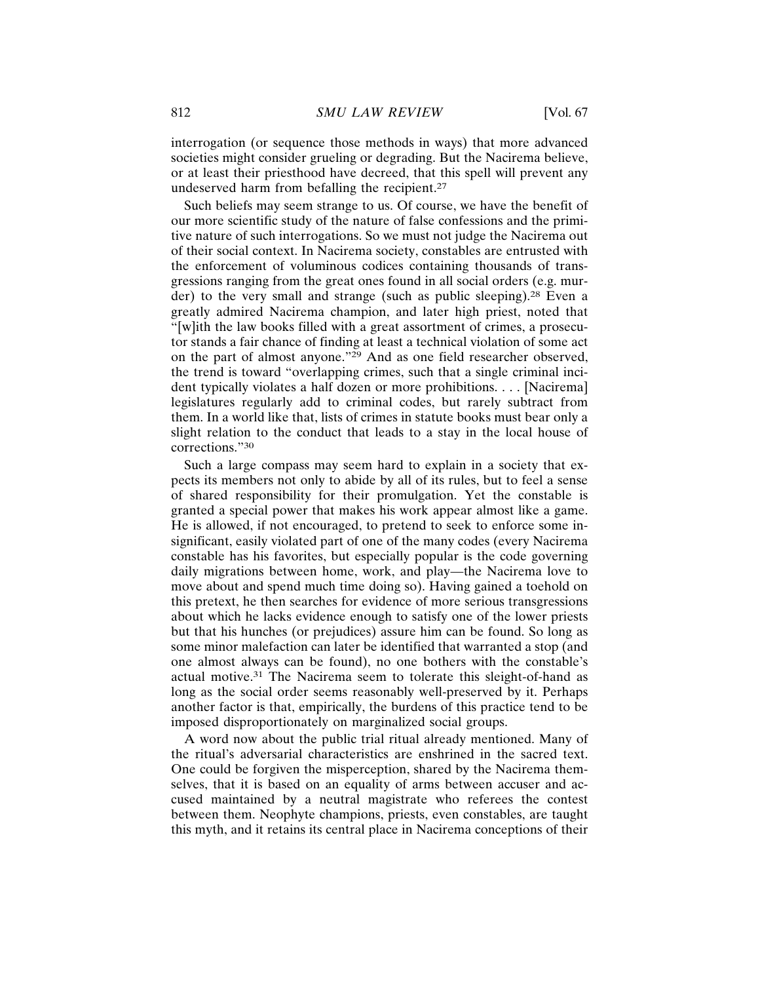interrogation (or sequence those methods in ways) that more advanced societies might consider grueling or degrading. But the Nacirema believe, or at least their priesthood have decreed, that this spell will prevent any undeserved harm from befalling the recipient.<sup>27</sup>

Such beliefs may seem strange to us. Of course, we have the benefit of our more scientific study of the nature of false confessions and the primitive nature of such interrogations. So we must not judge the Nacirema out of their social context. In Nacirema society, constables are entrusted with the enforcement of voluminous codices containing thousands of transgressions ranging from the great ones found in all social orders (e.g. murder) to the very small and strange (such as public sleeping).<sup>28</sup> Even a greatly admired Nacirema champion, and later high priest, noted that "[w]ith the law books filled with a great assortment of crimes, a prosecutor stands a fair chance of finding at least a technical violation of some act on the part of almost anyone."29 And as one field researcher observed, the trend is toward "overlapping crimes, such that a single criminal incident typically violates a half dozen or more prohibitions. . . . [Nacirema] legislatures regularly add to criminal codes, but rarely subtract from them. In a world like that, lists of crimes in statute books must bear only a slight relation to the conduct that leads to a stay in the local house of corrections."30

Such a large compass may seem hard to explain in a society that expects its members not only to abide by all of its rules, but to feel a sense of shared responsibility for their promulgation. Yet the constable is granted a special power that makes his work appear almost like a game. He is allowed, if not encouraged, to pretend to seek to enforce some insignificant, easily violated part of one of the many codes (every Nacirema constable has his favorites, but especially popular is the code governing daily migrations between home, work, and play—the Nacirema love to move about and spend much time doing so). Having gained a toehold on this pretext, he then searches for evidence of more serious transgressions about which he lacks evidence enough to satisfy one of the lower priests but that his hunches (or prejudices) assure him can be found. So long as some minor malefaction can later be identified that warranted a stop (and one almost always can be found), no one bothers with the constable's actual motive.31 The Nacirema seem to tolerate this sleight-of-hand as long as the social order seems reasonably well-preserved by it. Perhaps another factor is that, empirically, the burdens of this practice tend to be imposed disproportionately on marginalized social groups.

A word now about the public trial ritual already mentioned. Many of the ritual's adversarial characteristics are enshrined in the sacred text. One could be forgiven the misperception, shared by the Nacirema themselves, that it is based on an equality of arms between accuser and accused maintained by a neutral magistrate who referees the contest between them. Neophyte champions, priests, even constables, are taught this myth, and it retains its central place in Nacirema conceptions of their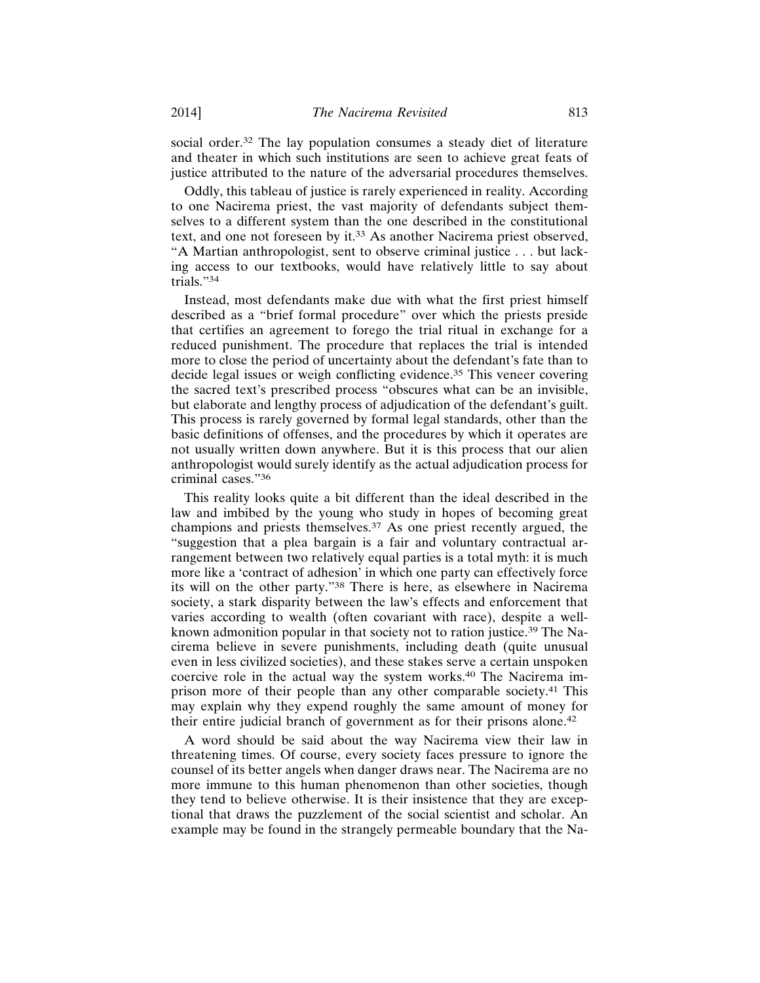social order.<sup>32</sup> The lay population consumes a steady diet of literature and theater in which such institutions are seen to achieve great feats of justice attributed to the nature of the adversarial procedures themselves.

Oddly, this tableau of justice is rarely experienced in reality. According to one Nacirema priest, the vast majority of defendants subject themselves to a different system than the one described in the constitutional text, and one not foreseen by it.33 As another Nacirema priest observed, "A Martian anthropologist, sent to observe criminal justice . . . but lacking access to our textbooks, would have relatively little to say about trials."34

Instead, most defendants make due with what the first priest himself described as a "brief formal procedure" over which the priests preside that certifies an agreement to forego the trial ritual in exchange for a reduced punishment. The procedure that replaces the trial is intended more to close the period of uncertainty about the defendant's fate than to decide legal issues or weigh conflicting evidence.35 This veneer covering the sacred text's prescribed process "obscures what can be an invisible, but elaborate and lengthy process of adjudication of the defendant's guilt. This process is rarely governed by formal legal standards, other than the basic definitions of offenses, and the procedures by which it operates are not usually written down anywhere. But it is this process that our alien anthropologist would surely identify as the actual adjudication process for criminal cases."<sup>36</sup>

This reality looks quite a bit different than the ideal described in the law and imbibed by the young who study in hopes of becoming great champions and priests themselves.37 As one priest recently argued, the "suggestion that a plea bargain is a fair and voluntary contractual arrangement between two relatively equal parties is a total myth: it is much more like a 'contract of adhesion' in which one party can effectively force its will on the other party."38 There is here, as elsewhere in Nacirema society, a stark disparity between the law's effects and enforcement that varies according to wealth (often covariant with race), despite a wellknown admonition popular in that society not to ration justice.39 The Nacirema believe in severe punishments, including death (quite unusual even in less civilized societies), and these stakes serve a certain unspoken coercive role in the actual way the system works.40 The Nacirema imprison more of their people than any other comparable society.41 This may explain why they expend roughly the same amount of money for their entire judicial branch of government as for their prisons alone.<sup>42</sup>

A word should be said about the way Nacirema view their law in threatening times. Of course, every society faces pressure to ignore the counsel of its better angels when danger draws near. The Nacirema are no more immune to this human phenomenon than other societies, though they tend to believe otherwise. It is their insistence that they are exceptional that draws the puzzlement of the social scientist and scholar. An example may be found in the strangely permeable boundary that the Na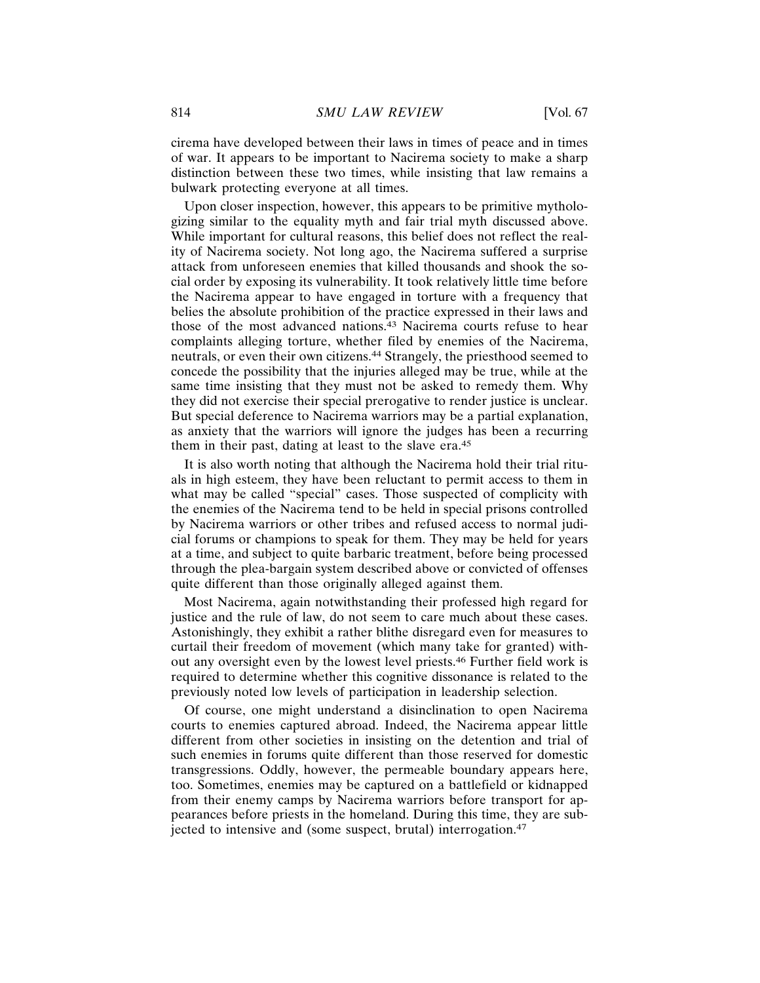cirema have developed between their laws in times of peace and in times of war. It appears to be important to Nacirema society to make a sharp distinction between these two times, while insisting that law remains a bulwark protecting everyone at all times.

Upon closer inspection, however, this appears to be primitive mythologizing similar to the equality myth and fair trial myth discussed above. While important for cultural reasons, this belief does not reflect the reality of Nacirema society. Not long ago, the Nacirema suffered a surprise attack from unforeseen enemies that killed thousands and shook the social order by exposing its vulnerability. It took relatively little time before the Nacirema appear to have engaged in torture with a frequency that belies the absolute prohibition of the practice expressed in their laws and those of the most advanced nations.<sup>43</sup> Nacirema courts refuse to hear complaints alleging torture, whether filed by enemies of the Nacirema, neutrals, or even their own citizens.44 Strangely, the priesthood seemed to concede the possibility that the injuries alleged may be true, while at the same time insisting that they must not be asked to remedy them. Why they did not exercise their special prerogative to render justice is unclear. But special deference to Nacirema warriors may be a partial explanation, as anxiety that the warriors will ignore the judges has been a recurring them in their past, dating at least to the slave era.<sup>45</sup>

It is also worth noting that although the Nacirema hold their trial rituals in high esteem, they have been reluctant to permit access to them in what may be called "special" cases. Those suspected of complicity with the enemies of the Nacirema tend to be held in special prisons controlled by Nacirema warriors or other tribes and refused access to normal judicial forums or champions to speak for them. They may be held for years at a time, and subject to quite barbaric treatment, before being processed through the plea-bargain system described above or convicted of offenses quite different than those originally alleged against them.

Most Nacirema, again notwithstanding their professed high regard for justice and the rule of law, do not seem to care much about these cases. Astonishingly, they exhibit a rather blithe disregard even for measures to curtail their freedom of movement (which many take for granted) without any oversight even by the lowest level priests.46 Further field work is required to determine whether this cognitive dissonance is related to the previously noted low levels of participation in leadership selection.

Of course, one might understand a disinclination to open Nacirema courts to enemies captured abroad. Indeed, the Nacirema appear little different from other societies in insisting on the detention and trial of such enemies in forums quite different than those reserved for domestic transgressions. Oddly, however, the permeable boundary appears here, too. Sometimes, enemies may be captured on a battlefield or kidnapped from their enemy camps by Nacirema warriors before transport for appearances before priests in the homeland. During this time, they are subjected to intensive and (some suspect, brutal) interrogation.<sup>47</sup>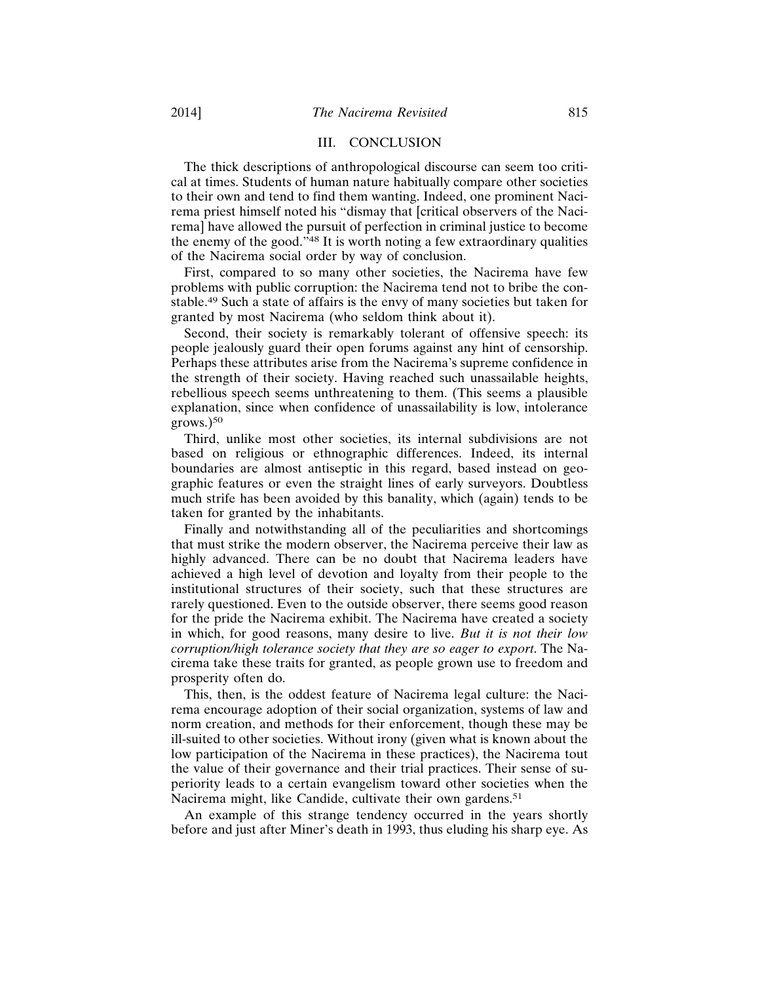### III. CONCLUSION

The thick descriptions of anthropological discourse can seem too critical at times. Students of human nature habitually compare other societies to their own and tend to find them wanting. Indeed, one prominent Nacirema priest himself noted his "dismay that [critical observers of the Nacirema] have allowed the pursuit of perfection in criminal justice to become the enemy of the good."48 It is worth noting a few extraordinary qualities of the Nacirema social order by way of conclusion.

First, compared to so many other societies, the Nacirema have few problems with public corruption: the Nacirema tend not to bribe the constable.49 Such a state of affairs is the envy of many societies but taken for granted by most Nacirema (who seldom think about it).

Second, their society is remarkably tolerant of offensive speech: its people jealously guard their open forums against any hint of censorship. Perhaps these attributes arise from the Nacirema's supreme confidence in the strength of their society. Having reached such unassailable heights, rebellious speech seems unthreatening to them. (This seems a plausible explanation, since when confidence of unassailability is low, intolerance  $grows.)$ <sup>50</sup>

Third, unlike most other societies, its internal subdivisions are not based on religious or ethnographic differences. Indeed, its internal boundaries are almost antiseptic in this regard, based instead on geographic features or even the straight lines of early surveyors. Doubtless much strife has been avoided by this banality, which (again) tends to be taken for granted by the inhabitants.

Finally and notwithstanding all of the peculiarities and shortcomings that must strike the modern observer, the Nacirema perceive their law as highly advanced. There can be no doubt that Nacirema leaders have achieved a high level of devotion and loyalty from their people to the institutional structures of their society, such that these structures are rarely questioned. Even to the outside observer, there seems good reason for the pride the Nacirema exhibit. The Nacirema have created a society in which, for good reasons, many desire to live. *But it is not their low corruption/high tolerance society that they are so eager to export*. The Nacirema take these traits for granted, as people grown use to freedom and prosperity often do.

This, then, is the oddest feature of Nacirema legal culture: the Nacirema encourage adoption of their social organization, systems of law and norm creation, and methods for their enforcement, though these may be ill-suited to other societies. Without irony (given what is known about the low participation of the Nacirema in these practices), the Nacirema tout the value of their governance and their trial practices. Their sense of superiority leads to a certain evangelism toward other societies when the Nacirema might, like Candide, cultivate their own gardens.<sup>51</sup>

An example of this strange tendency occurred in the years shortly before and just after Miner's death in 1993, thus eluding his sharp eye. As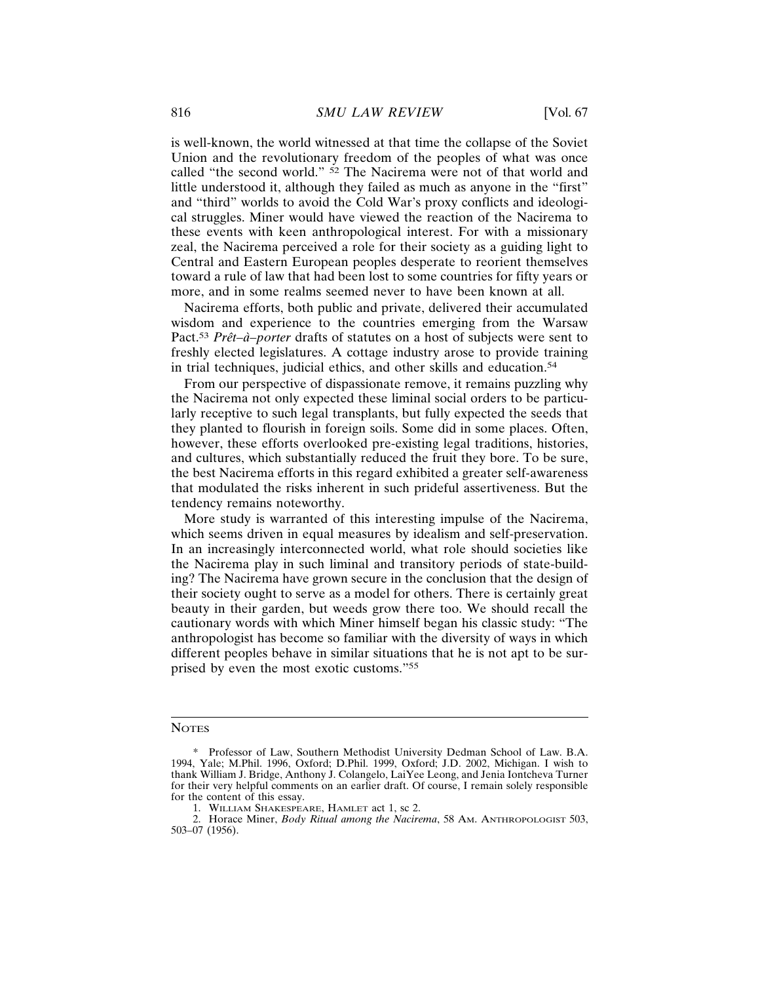is well-known, the world witnessed at that time the collapse of the Soviet Union and the revolutionary freedom of the peoples of what was once called "the second world." <sup>52</sup> The Nacirema were not of that world and little understood it, although they failed as much as anyone in the "first" and "third" worlds to avoid the Cold War's proxy conflicts and ideological struggles. Miner would have viewed the reaction of the Nacirema to these events with keen anthropological interest. For with a missionary zeal, the Nacirema perceived a role for their society as a guiding light to Central and Eastern European peoples desperate to reorient themselves toward a rule of law that had been lost to some countries for fifty years or more, and in some realms seemed never to have been known at all.

Nacirema efforts, both public and private, delivered their accumulated wisdom and experience to the countries emerging from the Warsaw Pact.<sup>53</sup> *Prêt–à–porter* drafts of statutes on a host of subjects were sent to freshly elected legislatures. A cottage industry arose to provide training in trial techniques, judicial ethics, and other skills and education.<sup>54</sup>

From our perspective of dispassionate remove, it remains puzzling why the Nacirema not only expected these liminal social orders to be particularly receptive to such legal transplants, but fully expected the seeds that they planted to flourish in foreign soils. Some did in some places. Often, however, these efforts overlooked pre-existing legal traditions, histories, and cultures, which substantially reduced the fruit they bore. To be sure, the best Nacirema efforts in this regard exhibited a greater self-awareness that modulated the risks inherent in such prideful assertiveness. But the tendency remains noteworthy.

More study is warranted of this interesting impulse of the Nacirema, which seems driven in equal measures by idealism and self-preservation. In an increasingly interconnected world, what role should societies like the Nacirema play in such liminal and transitory periods of state-building? The Nacirema have grown secure in the conclusion that the design of their society ought to serve as a model for others. There is certainly great beauty in their garden, but weeds grow there too. We should recall the cautionary words with which Miner himself began his classic study: "The anthropologist has become so familiar with the diversity of ways in which different peoples behave in similar situations that he is not apt to be surprised by even the most exotic customs."<sup>55</sup>

#### **NOTES**

<sup>\*</sup> Professor of Law, Southern Methodist University Dedman School of Law. B.A. 1994, Yale; M.Phil. 1996, Oxford; D.Phil. 1999, Oxford; J.D. 2002, Michigan. I wish to thank William J. Bridge, Anthony J. Colangelo, LaiYee Leong, and Jenia Iontcheva Turner for their very helpful comments on an earlier draft. Of course, I remain solely responsible for the content of this essay.

<sup>1.</sup> WILLIAM SHAKESPEARE, HAMLET act 1, sc 2.

<sup>2.</sup> Horace Miner, *Body Ritual among the Nacirema*, 58 AM. ANTHROPOLOGIST 503, 503–07 (1956).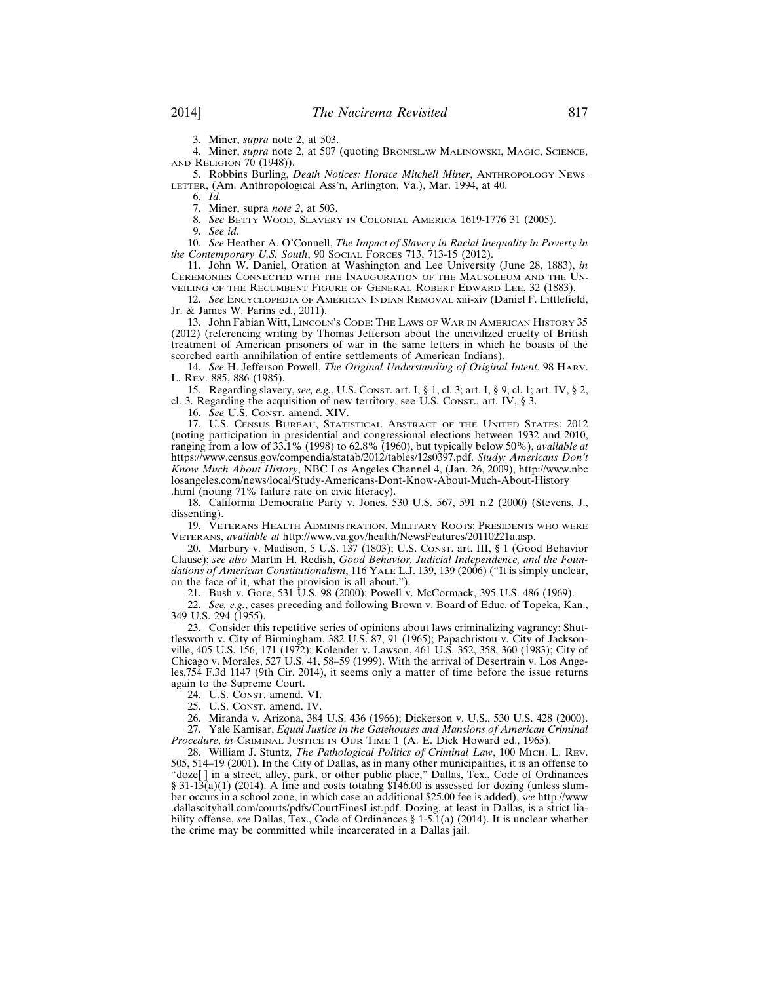3. Miner, *supra* note 2, at 503.

4. Miner, *supra* note 2, at 507 (quoting BRONISLAW MALINOWSKI, MAGIC, SCIENCE, AND RELIGION 70 (1948)).

5. Robbins Burling, *Death Notices: Horace Mitchell Miner*, ANTHROPOLOGY NEWS-LETTER, (Am. Anthropological Ass'n, Arlington, Va.), Mar. 1994, at 40.

6. *Id.*

7. Miner, supra *note 2*, at 503.

8. *See* BETTY WOOD, SLAVERY IN COLONIAL AMERICA 1619-1776 31 (2005).

9. *See id.*

10. *See* Heather A. O'Connell, *The Impact of Slavery in Racial Inequality in Poverty in the Contemporary U.S. South, 90 Social Forces 713, 713-15 (2012).* 

11. John W. Daniel, Oration at Washington and Lee University (June 28, 1883), *in* CEREMONIES CONNECTED WITH THE INAUGURATION OF THE MAUSOLEUM AND THE UN-VEILING OF THE RECUMBENT FIGURE OF GENERAL ROBERT EDWARD LEE, 32 (1883).

12. *See* ENCYCLOPEDIA OF AMERICAN INDIAN REMOVAL xiii-xiv (Daniel F. Littlefield, Jr. & James W. Parins ed., 2011).

13. John Fabian Witt, LINCOLN'S CODE: THE LAWS OF WAR IN AMERICAN HISTORY 35 (2012) (referencing writing by Thomas Jefferson about the uncivilized cruelty of British treatment of American prisoners of war in the same letters in which he boasts of the scorched earth annihilation of entire settlements of American Indians).

14. *See* H. Jefferson Powell, *The Original Understanding of Original Intent*, 98 HARV. L. REV. 885, 886 (1985).

15. Regarding slavery, *see, e.g.*, U.S. CONST. art. I, § 1, cl. 3; art. I, § 9, cl. 1; art. IV, § 2, cl. 3. Regarding the acquisition of new territory, see U.S. CONST., art. IV, § 3.

16. *See* U.S. CONST. amend. XIV.

17. U.S. CENSUS BUREAU, STATISTICAL ABSTRACT OF THE UNITED STATES: 2012 (noting participation in presidential and congressional elections between 1932 and 2010, ranging from a low of 33.1% (1998) to 62.8% (1960), but typically below 50%), *available at* https://www.census.gov/compendia/statab/2012/tables/12s0397.pdf. *Study: Americans Don't Know Much About History*, NBC Los Angeles Channel 4, (Jan. 26, 2009), http://www.nbc losangeles.com/news/local/Study-Americans-Dont-Know-About-Much-About-History .html (noting 71% failure rate on civic literacy).

18. California Democratic Party v. Jones, 530 U.S. 567, 591 n.2 (2000) (Stevens, J., dissenting).

19. VETERANS HEALTH ADMINISTRATION, MILITARY ROOTS: PRESIDENTS WHO WERE VETERANS, *available at* http://www.va.gov/health/NewsFeatures/20110221a.asp.

20. Marbury v. Madison, 5 U.S. 137 (1803); U.S. CONST. art. III, § 1 (Good Behavior Clause); *see also* Martin H. Redish, *Good Behavior, Judicial Independence, and the Foundations of American Constitutionalism*, 116 YALE L.J. 139, 139 (2006) ("It is simply unclear, on the face of it, what the provision is all about.").

21. Bush v. Gore, 531 U.S. 98 (2000); Powell v. McCormack, 395 U.S. 486 (1969).

22. *See, e.g.*, cases preceding and following Brown v. Board of Educ. of Topeka, Kan., 349 U.S. 294 (1955).

23. Consider this repetitive series of opinions about laws criminalizing vagrancy: Shuttlesworth v. City of Birmingham, 382 U.S. 87, 91 (1965); Papachristou v. City of Jacksonville, 405 U.S. 156, 171 (1972); Kolender v. Lawson, 461 U.S. 352, 358, 360 (1983); City of Chicago v. Morales, 527 U.S. 41, 58–59 (1999). With the arrival of Desertrain v. Los Angeles,754 F.3d 1147 (9th Cir. 2014), it seems only a matter of time before the issue returns again to the Supreme Court.

24. U.S. CONST. amend. VI.

25. U.S. CONST. amend. IV.

26. Miranda v. Arizona, 384 U.S. 436 (1966); Dickerson v. U.S., 530 U.S. 428 (2000).

27. Yale Kamisar, *Equal Justice in the Gatehouses and Mansions of American Criminal Procedure*, *in* CRIMINAL JUSTICE IN OUR TIME 1 (A. E. Dick Howard ed., 1965).

28. William J. Stuntz, *The Pathological Politics of Criminal Law*, 100 MICH. L. REV. 505, 514–19 (2001). In the City of Dallas, as in many other municipalities, it is an offense to "doze[ ] in a street, alley, park, or other public place," Dallas, Tex., Code of Ordinances § 31-13(a)(1) (2014). A fine and costs totaling  $$146.00$  is assessed for dozing (unless slumber occurs in a school zone, in which case an additional \$25.00 fee is added), *see* http://www .dallascityhall.com/courts/pdfs/CourtFinesList.pdf. Dozing, at least in Dallas, is a strict liability offense, *see* Dallas, Tex., Code of Ordinances § 1-5.1(a) (2014). It is unclear whether the crime may be committed while incarcerated in a Dallas jail.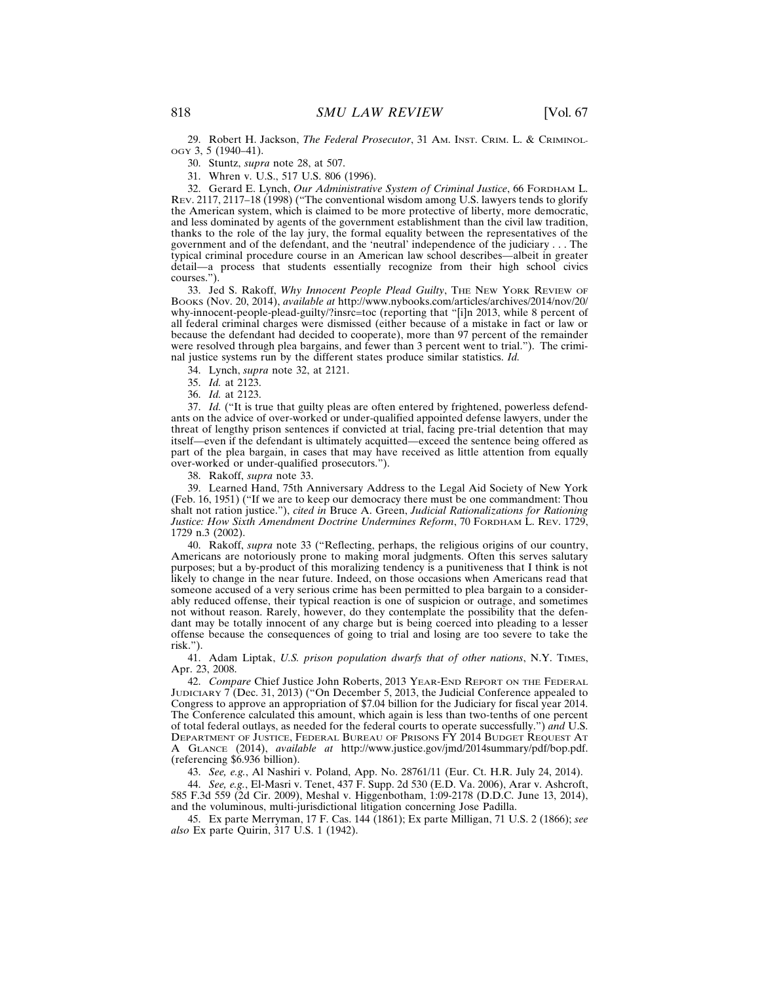29. Robert H. Jackson, *The Federal Prosecutor*, 31 AM. INST. CRIM. L. & CRIMINOL-OGY 3, 5 (1940–41).

30. Stuntz, *supra* note 28, at 507.

31. Whren v. U.S., 517 U.S. 806 (1996).

32. Gerard E. Lynch, *Our Administrative System of Criminal Justice*, 66 FORDHAM L. REV. 2117, 2117–18 (1998) ("The conventional wisdom among U.S. lawyers tends to glorify the American system, which is claimed to be more protective of liberty, more democratic, and less dominated by agents of the government establishment than the civil law tradition, thanks to the role of the lay jury, the formal equality between the representatives of the government and of the defendant, and the 'neutral' independence of the judiciary . . . The typical criminal procedure course in an American law school describes—albeit in greater detail—a process that students essentially recognize from their high school civics courses.").

33. Jed S. Rakoff, *Why Innocent People Plead Guilty*, THE NEW YORK REVIEW OF BOOKS (Nov. 20, 2014), *available at* http://www.nybooks.com/articles/archives/2014/nov/20/ why-innocent-people-plead-guilty/?insrc=toc (reporting that "[i]n 2013, while 8 percent of all federal criminal charges were dismissed (either because of a mistake in fact or law or because the defendant had decided to cooperate), more than 97 percent of the remainder were resolved through plea bargains, and fewer than 3 percent went to trial."). The criminal justice systems run by the different states produce similar statistics. *Id.*

34. Lynch, *supra* note 32, at 2121.

35. *Id.* at 2123.

36. *Id.* at 2123.

37. *Id.* ("It is true that guilty pleas are often entered by frightened, powerless defendants on the advice of over-worked or under-qualified appointed defense lawyers, under the threat of lengthy prison sentences if convicted at trial, facing pre-trial detention that may itself—even if the defendant is ultimately acquitted—exceed the sentence being offered as part of the plea bargain, in cases that may have received as little attention from equally over-worked or under-qualified prosecutors.").

38. Rakoff, *supra* note 33.

39. Learned Hand, 75th Anniversary Address to the Legal Aid Society of New York (Feb. 16, 1951) ("If we are to keep our democracy there must be one commandment: Thou shalt not ration justice."), *cited in* Bruce A. Green, *Judicial Rationalizations for Rationing Justice: How Sixth Amendment Doctrine Undermines Reform*, 70 FORDHAM L. REV. 1729, 1729 n.3 (2002).

40. Rakoff, *supra* note 33 ("Reflecting, perhaps, the religious origins of our country, Americans are notoriously prone to making moral judgments. Often this serves salutary purposes; but a by-product of this moralizing tendency is a punitiveness that I think is not likely to change in the near future. Indeed, on those occasions when Americans read that someone accused of a very serious crime has been permitted to plea bargain to a considerably reduced offense, their typical reaction is one of suspicion or outrage, and sometimes not without reason. Rarely, however, do they contemplate the possibility that the defendant may be totally innocent of any charge but is being coerced into pleading to a lesser offense because the consequences of going to trial and losing are too severe to take the risk<sup>"</sup>).

41. Adam Liptak, *U.S. prison population dwarfs that of other nations*, N.Y. TIMES, Apr. 23, 2008.

42. *Compare* Chief Justice John Roberts, 2013 YEAR-END REPORT ON THE FEDERAL JUDICIARY 7 (Dec. 31, 2013) ("On December 5, 2013, the Judicial Conference appealed to Congress to approve an appropriation of \$7.04 billion for the Judiciary for fiscal year 2014. The Conference calculated this amount, which again is less than two-tenths of one percent of total federal outlays, as needed for the federal courts to operate successfully.") *and* U.S. DEPARTMENT OF JUSTICE, FEDERAL BUREAU OF PRISONS FY 2014 BUDGET REQUEST AT A GLANCE (2014), *available at* http://www.justice.gov/jmd/2014summary/pdf/bop.pdf. (referencing \$6.936 billion).

43. *See, e.g.*, Al Nashiri v. Poland, App. No. 28761/11 (Eur. Ct. H.R. July 24, 2014).

44. *See, e.g.*, El-Masri v. Tenet, 437 F. Supp. 2d 530 (E.D. Va. 2006), Arar v. Ashcroft, 585 F.3d 559 (2d Cir. 2009), Meshal v. Higgenbotham, 1:09-2178 (D.D.C. June 13, 2014), and the voluminous, multi-jurisdictional litigation concerning Jose Padilla.

45. Ex parte Merryman, 17 F. Cas. 144 (1861); Ex parte Milligan, 71 U.S. 2 (1866); *see also* Ex parte Quirin, 317 U.S. 1 (1942).